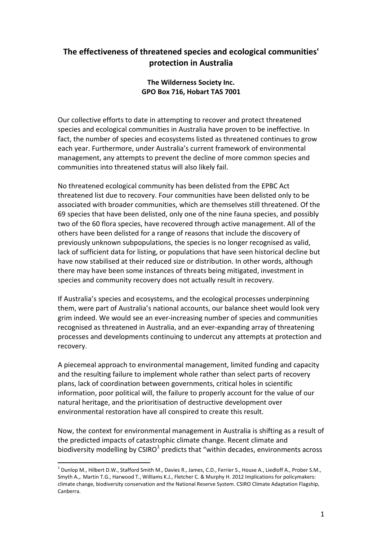## The effectiveness of threatened species and ecological communities' protection in Australia

## The Wilderness Society Inc. GPO Box 716, Hobart TAS 7001

Our collective efforts to date in attempting to recover and protect threatened species and ecological communities in Australia have proven to be ineffective. In fact, the number of species and ecosystems listed as threatened continues to grow each year. Furthermore, under Australia's current framework of environmental management, any attempts to prevent the decline of more common species and communities into threatened status will also likely fail.

No threatened ecological community has been delisted from the EPBC Act threatened list due to recovery. Four communities have been delisted only to be associated with broader communities, which are themselves still threatened. Of the 69 species that have been delisted, only one of the nine fauna species, and possibly two of the 60 flora species, have recovered through active management. All of the others have been delisted for a range of reasons that include the discovery of previously unknown subpopulations, the species is no longer recognised as valid, lack of sufficient data for listing, or populations that have seen historical decline but have now stabilised at their reduced size or distribution. In other words, although there may have been some instances of threats being mitigated, investment in species and community recovery does not actually result in recovery.

If Australia's species and ecosystems, and the ecological processes underpinning them, were part of Australia's national accounts, our balance sheet would look very grim indeed. We would see an ever-increasing number of species and communities recognised as threatened in Australia, and an ever-expanding array of threatening processes and developments continuing to undercut any attempts at protection and recovery.

A piecemeal approach to environmental management, limited funding and capacity and the resulting failure to implement whole rather than select parts of recovery plans, lack of coordination between governments, critical holes in scientific information, poor political will, the failure to properly account for the value of our natural heritage, and the prioritisation of destructive development over environmental restoration have all conspired to create this result.

Now, the context for environmental management in Australia is shifting as a result of the predicted impacts of catastrophic climate change. Recent climate and biodiversity modelling by CSIRO $^1$  predicts that "within decades, environments across

l.

 $^1$  Dunlop M., Hilbert D.W., Stafford Smith M., Davies R., James, C.D., Ferrier S., House A., Liedloff A., Prober S.M., Smyth A.,. Martin T.G., Harwood T., Williams K.J., Fletcher C. & Murphy H. 2012 Implications for policymakers: climate change, biodiversity conservation and the National Reserve System. CSIRO Climate Adaptation Flagship, Canberra.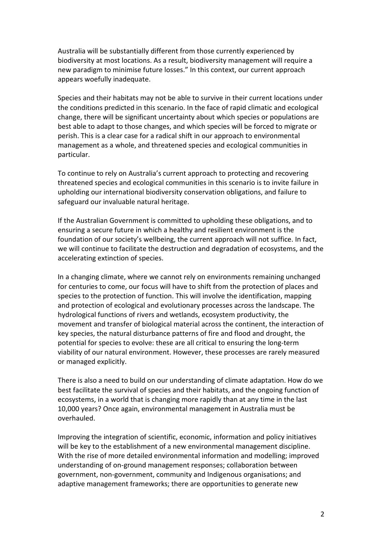Australia will be substantially different from those currently experienced by biodiversity at most locations. As a result, biodiversity management will require a new paradigm to minimise future losses." In this context, our current approach appears woefully inadequate.

Species and their habitats may not be able to survive in their current locations under the conditions predicted in this scenario. In the face of rapid climatic and ecological change, there will be significant uncertainty about which species or populations are best able to adapt to those changes, and which species will be forced to migrate or perish. This is a clear case for a radical shift in our approach to environmental management as a whole, and threatened species and ecological communities in particular.

To continue to rely on Australia's current approach to protecting and recovering threatened species and ecological communities in this scenario is to invite failure in upholding our international biodiversity conservation obligations, and failure to safeguard our invaluable natural heritage.

If the Australian Government is committed to upholding these obligations, and to ensuring a secure future in which a healthy and resilient environment is the foundation of our society's wellbeing, the current approach will not suffice. In fact, we will continue to facilitate the destruction and degradation of ecosystems, and the accelerating extinction of species.

In a changing climate, where we cannot rely on environments remaining unchanged for centuries to come, our focus will have to shift from the protection of places and species to the protection of function. This will involve the identification, mapping and protection of ecological and evolutionary processes across the landscape. The hydrological functions of rivers and wetlands, ecosystem productivity, the movement and transfer of biological material across the continent, the interaction of key species, the natural disturbance patterns of fire and flood and drought, the potential for species to evolve: these are all critical to ensuring the long-term viability of our natural environment. However, these processes are rarely measured or managed explicitly.

There is also a need to build on our understanding of climate adaptation. How do we best facilitate the survival of species and their habitats, and the ongoing function of ecosystems, in a world that is changing more rapidly than at any time in the last 10,000 years? Once again, environmental management in Australia must be overhauled.

Improving the integration of scientific, economic, information and policy initiatives will be key to the establishment of a new environmental management discipline. With the rise of more detailed environmental information and modelling; improved understanding of on-ground management responses; collaboration between government, non-government, community and Indigenous organisations; and adaptive management frameworks; there are opportunities to generate new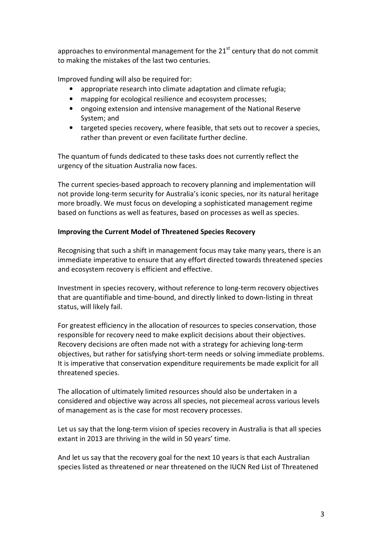approaches to environmental management for the  $21<sup>st</sup>$  century that do not commit to making the mistakes of the last two centuries.

Improved funding will also be required for:

- appropriate research into climate adaptation and climate refugia;
- mapping for ecological resilience and ecosystem processes;
- ongoing extension and intensive management of the National Reserve System; and
- targeted species recovery, where feasible, that sets out to recover a species, rather than prevent or even facilitate further decline.

The quantum of funds dedicated to these tasks does not currently reflect the urgency of the situation Australia now faces.

The current species-based approach to recovery planning and implementation will not provide long-term security for Australia's iconic species, nor its natural heritage more broadly. We must focus on developing a sophisticated management regime based on functions as well as features, based on processes as well as species.

## Improving the Current Model of Threatened Species Recovery

Recognising that such a shift in management focus may take many years, there is an immediate imperative to ensure that any effort directed towards threatened species and ecosystem recovery is efficient and effective.

Investment in species recovery, without reference to long-term recovery objectives that are quantifiable and time-bound, and directly linked to down-listing in threat status, will likely fail.

For greatest efficiency in the allocation of resources to species conservation, those responsible for recovery need to make explicit decisions about their objectives. Recovery decisions are often made not with a strategy for achieving long-term objectives, but rather for satisfying short-term needs or solving immediate problems. It is imperative that conservation expenditure requirements be made explicit for all threatened species.

The allocation of ultimately limited resources should also be undertaken in a considered and objective way across all species, not piecemeal across various levels of management as is the case for most recovery processes.

Let us say that the long-term vision of species recovery in Australia is that all species extant in 2013 are thriving in the wild in 50 years' time.

And let us say that the recovery goal for the next 10 years is that each Australian species listed as threatened or near threatened on the IUCN Red List of Threatened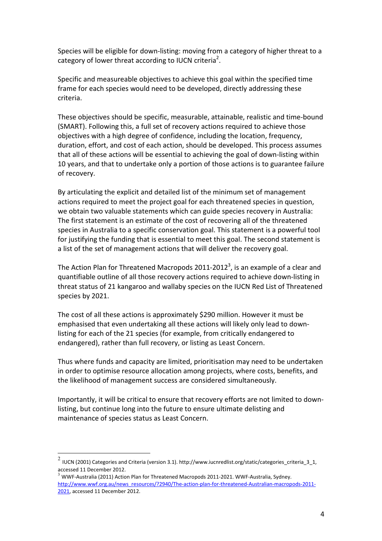Species will be eligible for down-listing: moving from a category of higher threat to a category of lower threat according to IUCN criteria<sup>2</sup>.

Specific and measureable objectives to achieve this goal within the specified time frame for each species would need to be developed, directly addressing these criteria.

These objectives should be specific, measurable, attainable, realistic and time-bound (SMART). Following this, a full set of recovery actions required to achieve those objectives with a high degree of confidence, including the location, frequency, duration, effort, and cost of each action, should be developed. This process assumes that all of these actions will be essential to achieving the goal of down-listing within 10 years, and that to undertake only a portion of those actions is to guarantee failure of recovery.

By articulating the explicit and detailed list of the minimum set of management actions required to meet the project goal for each threatened species in question, we obtain two valuable statements which can guide species recovery in Australia: The first statement is an estimate of the cost of recovering all of the threatened species in Australia to a specific conservation goal. This statement is a powerful tool for justifying the funding that is essential to meet this goal. The second statement is a list of the set of management actions that will deliver the recovery goal.

The Action Plan for Threatened Macropods 2011-2012<sup>3</sup>, is an example of a clear and quantifiable outline of all those recovery actions required to achieve down-listing in threat status of 21 kangaroo and wallaby species on the IUCN Red List of Threatened species by 2021.

The cost of all these actions is approximately \$290 million. However it must be emphasised that even undertaking all these actions will likely only lead to downlisting for each of the 21 species (for example, from critically endangered to endangered), rather than full recovery, or listing as Least Concern.

Thus where funds and capacity are limited, prioritisation may need to be undertaken in order to optimise resource allocation among projects, where costs, benefits, and the likelihood of management success are considered simultaneously.

Importantly, it will be critical to ensure that recovery efforts are not limited to downlisting, but continue long into the future to ensure ultimate delisting and maintenance of species status as Least Concern.

l.

 $^2$  IUCN (2001) Categories and Criteria (version 3.1). http://www.iucnredlist.org/static/categories\_criteria\_3\_1, accessed 11 December 2012.

 $3$  WWF-Australia (2011) Action Plan for Threatened Macropods 2011-2021. WWF-Australia, Sydney. http://www.wwf.org.au/news\_resources/?2940/The-action-plan-for-threatened-Australian-macropods-2011-2021, accessed 11 December 2012.